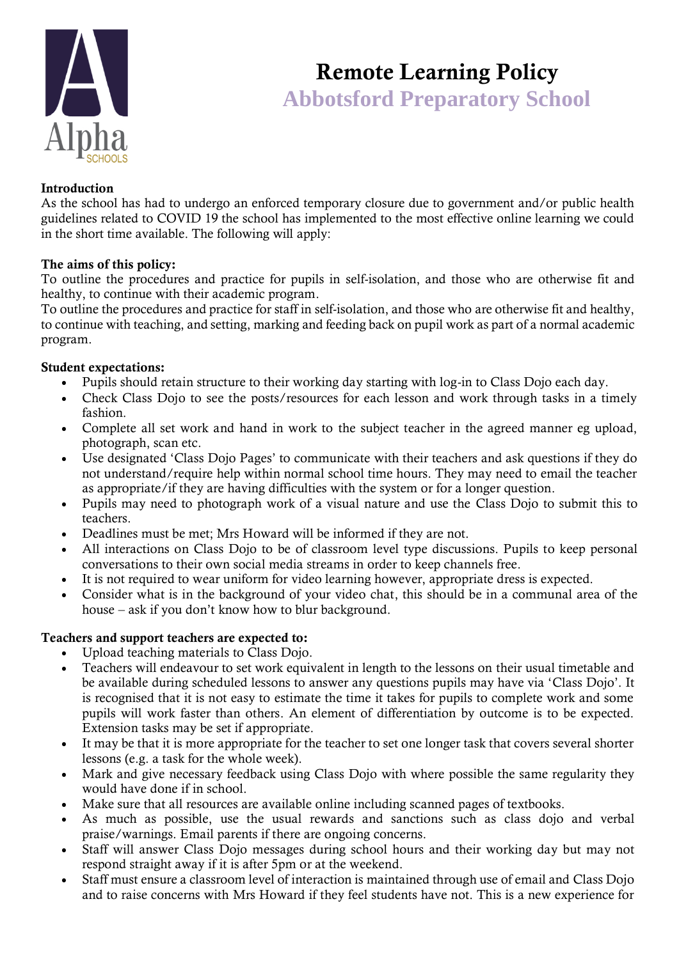

# Remote Learning Policy  **Abbotsford Preparatory School**

## Introduction

As the school has had to undergo an enforced temporary closure due to government and/or public health guidelines related to COVID 19 the school has implemented to the most effective online learning we could in the short time available. The following will apply:

#### The aims of this policy:

To outline the procedures and practice for pupils in self-isolation, and those who are otherwise fit and healthy, to continue with their academic program.

To outline the procedures and practice for staff in self-isolation, and those who are otherwise fit and healthy, to continue with teaching, and setting, marking and feeding back on pupil work as part of a normal academic program.

#### Student expectations:

- Pupils should retain structure to their working day starting with log-in to Class Dojo each day.
- Check Class Dojo to see the posts/resources for each lesson and work through tasks in a timely fashion.
- Complete all set work and hand in work to the subject teacher in the agreed manner eg upload, photograph, scan etc.
- Use designated 'Class Dojo Pages' to communicate with their teachers and ask questions if they do not understand/require help within normal school time hours. They may need to email the teacher as appropriate/if they are having difficulties with the system or for a longer question.
- Pupils may need to photograph work of a visual nature and use the Class Dojo to submit this to teachers.
- Deadlines must be met; Mrs Howard will be informed if they are not.
- All interactions on Class Dojo to be of classroom level type discussions. Pupils to keep personal conversations to their own social media streams in order to keep channels free.
- It is not required to wear uniform for video learning however, appropriate dress is expected.
- Consider what is in the background of your video chat, this should be in a communal area of the house – ask if you don't know how to blur background.

#### Teachers and support teachers are expected to:

- Upload teaching materials to Class Dojo.
- Teachers will endeavour to set work equivalent in length to the lessons on their usual timetable and be available during scheduled lessons to answer any questions pupils may have via 'Class Dojo'. It is recognised that it is not easy to estimate the time it takes for pupils to complete work and some pupils will work faster than others. An element of differentiation by outcome is to be expected. Extension tasks may be set if appropriate.
- It may be that it is more appropriate for the teacher to set one longer task that covers several shorter lessons (e.g. a task for the whole week).
- Mark and give necessary feedback using Class Dojo with where possible the same regularity they would have done if in school.
- Make sure that all resources are available online including scanned pages of textbooks.
- As much as possible, use the usual rewards and sanctions such as class dojo and verbal praise/warnings. Email parents if there are ongoing concerns.
- Staff will answer Class Dojo messages during school hours and their working day but may not respond straight away if it is after 5pm or at the weekend.
- Staff must ensure a classroom level of interaction is maintained through use of email and Class Dojo and to raise concerns with Mrs Howard if they feel students have not. This is a new experience for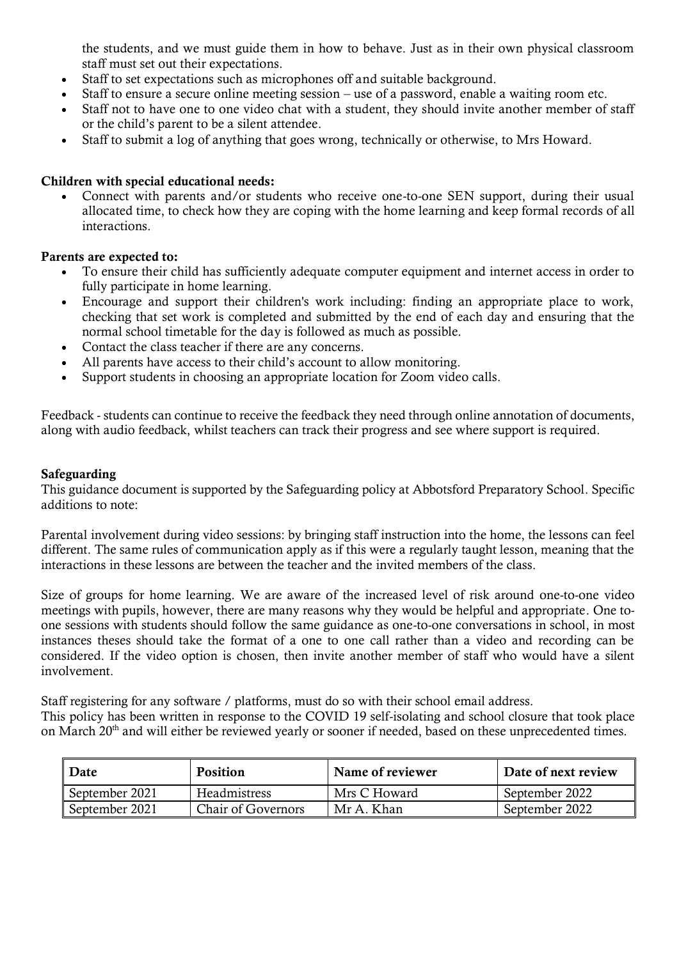the students, and we must guide them in how to behave. Just as in their own physical classroom staff must set out their expectations.

- Staff to set expectations such as microphones off and suitable background.
- Staff to ensure a secure online meeting session use of a password, enable a waiting room etc.
- Staff not to have one to one video chat with a student, they should invite another member of staff or the child's parent to be a silent attendee.
- Staff to submit a log of anything that goes wrong, technically or otherwise, to Mrs Howard.

## Children with special educational needs:

• Connect with parents and/or students who receive one-to-one SEN support, during their usual allocated time, to check how they are coping with the home learning and keep formal records of all interactions.

## Parents are expected to:

- To ensure their child has sufficiently adequate computer equipment and internet access in order to fully participate in home learning.
- Encourage and support their children's work including: finding an appropriate place to work, checking that set work is completed and submitted by the end of each day and ensuring that the normal school timetable for the day is followed as much as possible.
- Contact the class teacher if there are any concerns.
- All parents have access to their child's account to allow monitoring.
- Support students in choosing an appropriate location for Zoom video calls.

Feedback - students can continue to receive the [feedback t](https://helpcentre.fireflylearning.com/teachers-staff/tasks/marking-giving-feedback)hey need through online annotation of documents, along with audio feedback, whilst teachers can track their progress and see where support is required.

### Safeguarding

This guidance document is supported by the Safeguarding policy at Abbotsford Preparatory School. Specific additions to note:

Parental involvement during video sessions: by bringing staff instruction into the home, the lessons can feel different. The same rules of communication apply as if this were a regularly taught lesson, meaning that the interactions in these lessons are between the teacher and the invited members of the class.

Size of groups for home learning. We are aware of the increased level of risk around one-to-one video meetings with pupils, however, there are many reasons why they would be helpful and appropriate. One toone sessions with students should follow the same guidance as one-to-one conversations in school, in most instances theses should take the format of a one to one call rather than a video and recording can be considered. If the video option is chosen, then invite another member of staff who would have a silent involvement.

Staff registering for any software / platforms, must do so with their school email address.

This policy has been written in response to the COVID 19 self-isolating and school closure that took place on March 20<sup>th</sup> and will either be reviewed yearly or sooner if needed, based on these unprecedented times.

| Date           | Position                  | Name of reviewer | Date of next review |
|----------------|---------------------------|------------------|---------------------|
| September 2021 | Headmistress              | Mrs C Howard     | September 2022      |
| September 2021 | <b>Chair of Governors</b> | Mr A. Khan       | September 2022      |